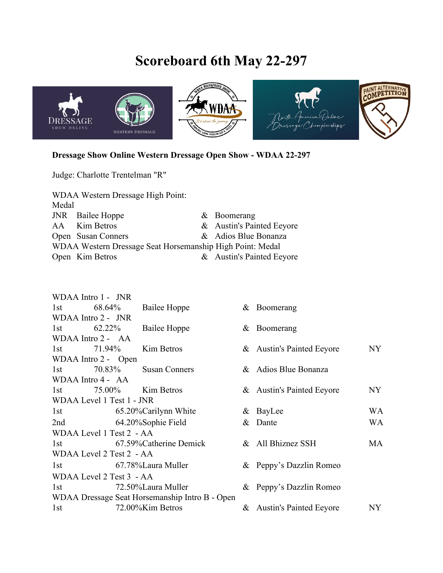## **Scoreboard 6th May 22-297**



## **Dressage Show Online Western Dressage Open Show - WDAA 22-297**

Judge: Charlotte Trentelman "R"

| <b>WDAA Western Dressage High Point:</b>                  |                         |  |                           |  |
|-----------------------------------------------------------|-------------------------|--|---------------------------|--|
| Medal                                                     |                         |  |                           |  |
|                                                           | <b>JNR</b> Bailee Hoppe |  | $&\text{Boomerang}$       |  |
|                                                           | AA Kim Betros           |  | & Austin's Painted Eeyore |  |
|                                                           | Open Susan Conners      |  | & Adios Blue Bonanza      |  |
| WDAA Western Dressage Seat Horsemanship High Point: Medal |                         |  |                           |  |
|                                                           | Open Kim Betros         |  | & Austin's Painted Eeyore |  |

|                                                | WDAA Intro 1 - JNR      |                      |                   |                           |                |  |  |
|------------------------------------------------|-------------------------|----------------------|-------------------|---------------------------|----------------|--|--|
| 1st                                            | 68.64%                  | Bailee Hoppe         |                   | & Boomerang               |                |  |  |
| WDAA Intro 2 - JNR                             |                         |                      |                   |                           |                |  |  |
| 1st $62.22\%$                                  |                         | Bailee Hoppe         |                   | $&$ Boomerang             |                |  |  |
|                                                | WDAA Intro 2 - AA       |                      |                   |                           |                |  |  |
| 1st                                            | 71.94%                  | Kim Betros           |                   | & Austin's Painted Eeyore | NY             |  |  |
|                                                | WDAA Intro 2 - Open     |                      |                   |                           |                |  |  |
| 1st                                            | 70.83%                  | <b>Susan Conners</b> |                   | & Adios Blue Bonanza      |                |  |  |
|                                                | WDAA Intro 4 - AA       |                      |                   |                           |                |  |  |
| 1st                                            |                         | 75.00% Kim Betros    |                   | & Austin's Painted Eeyore | NY             |  |  |
| WDAA Level 1 Test 1 - JNR                      |                         |                      |                   |                           |                |  |  |
| 1st 65.20% Carilynn White                      |                         |                      |                   | & BayLee                  | WA             |  |  |
|                                                | 2nd 64.20%Sophie Field  |                      |                   | & Dante                   | WA             |  |  |
| WDAA Level 1 Test 2 - AA                       |                         |                      |                   |                           |                |  |  |
| 1st 67.59% Catherine Demick                    |                         |                      | & All Bhiznez SSH | MA                        |                |  |  |
| WDAA Level 2 Test 2 - AA                       |                         |                      |                   |                           |                |  |  |
|                                                | 1st 67.78% Laura Muller |                      |                   | & Peppy's Dazzlin Romeo   |                |  |  |
| WDAA Level 2 Test 3 - AA                       |                         |                      |                   |                           |                |  |  |
|                                                | 1st 72.50% Laura Muller |                      |                   | & Peppy's Dazzlin Romeo   |                |  |  |
| WDAA Dressage Seat Horsemanship Intro B - Open |                         |                      |                   |                           |                |  |  |
| 1st                                            |                         | 72.00%Kim Betros     |                   | & Austin's Painted Eeyore | NY <sub></sub> |  |  |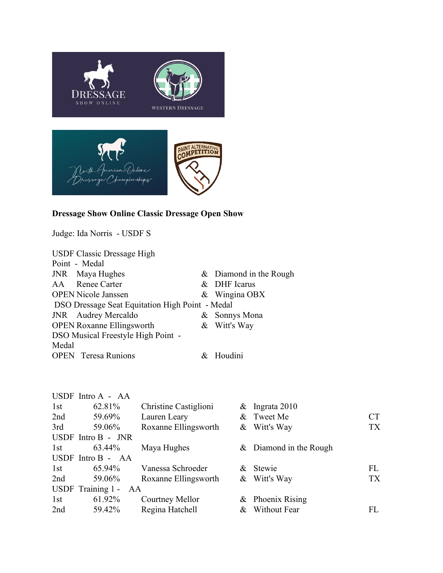



## **Dressage Show Online Classic Dressage Open Show**

Judge: Ida Norris - USDF S

|                                           | <b>USDF Classic Dressage High</b>               |  |                        |  |  |
|-------------------------------------------|-------------------------------------------------|--|------------------------|--|--|
|                                           | Point - Medal                                   |  |                        |  |  |
|                                           | JNR Maya Hughes                                 |  | & Diamond in the Rough |  |  |
|                                           | AA Renee Carter                                 |  | & DHF Icarus           |  |  |
|                                           | <b>OPEN Nicole Janssen</b>                      |  | $&$ Wingina OBX        |  |  |
|                                           | DSO Dressage Seat Equitation High Point - Medal |  |                        |  |  |
|                                           | JNR Audrey Mercaldo                             |  | & Sonnys Mona          |  |  |
|                                           | <b>OPEN Roxanne Ellingsworth</b>                |  | & Witt's Way           |  |  |
| <b>DSO Musical Freestyle High Point -</b> |                                                 |  |                        |  |  |
| Medal                                     |                                                 |  |                        |  |  |
|                                           | <b>OPEN</b> Teresa Runions                      |  | & Houdini              |  |  |

|     | USDF Intro A - AA       |                       |                        |           |
|-----|-------------------------|-----------------------|------------------------|-----------|
| 1st | 62.81%                  | Christine Castiglioni | $&$ Ingrata 2010       |           |
|     |                         |                       |                        |           |
| 2nd | 59.69%                  | Lauren Leary          | & Tweet Me             | CT        |
| 3rd | 59.06%                  | Roxanne Ellingsworth  | & Witt's Way           | <b>TX</b> |
|     | USDF Intro B - JNR      |                       |                        |           |
| 1st | 63.44%                  | Maya Hughes           | & Diamond in the Rough |           |
|     | USDF Intro B - AA       |                       |                        |           |
| 1st | 65.94%                  | Vanessa Schroeder     | & Stewie               | FL        |
| 2nd | 59.06%                  | Roxanne Ellingsworth  | & Witt's Way           | <b>TX</b> |
|     | USDF Training 1 -<br>AA |                       |                        |           |
| 1st | 61.92%                  | Courtney Mellor       | $&$ Phoenix Rising     |           |
| 2nd | 59.42%                  | Regina Hatchell       | & Without Fear         | FL        |